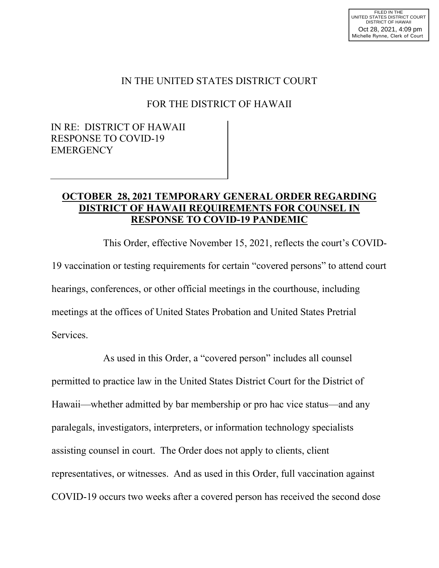## IN THE UNITED STATES DISTRICT COURT

## FOR THE DISTRICT OF HAWAII

## IN RE: DISTRICT OF HAWAII RESPONSE TO COVID-19 **EMERGENCY**

## **OCTOBER 28, 2021 TEMPORARY GENERAL ORDER REGARDING DISTRICT OF HAWAII REQUIREMENTS FOR COUNSEL IN RESPONSE TO COVID-19 PANDEMIC**

This Order, effective November 15, 2021, reflects the court's COVID-19 vaccination or testing requirements for certain "covered persons" to attend court hearings, conferences, or other official meetings in the courthouse, including meetings at the offices of United States Probation and United States Pretrial Services.

As used in this Order, a "covered person" includes all counsel permitted to practice law in the United States District Court for the District of Hawaii—whether admitted by bar membership or pro hac vice status—and any paralegals, investigators, interpreters, or information technology specialists assisting counsel in court. The Order does not apply to clients, client representatives, or witnesses. And as used in this Order, full vaccination against COVID-19 occurs two weeks after a covered person has received the second dose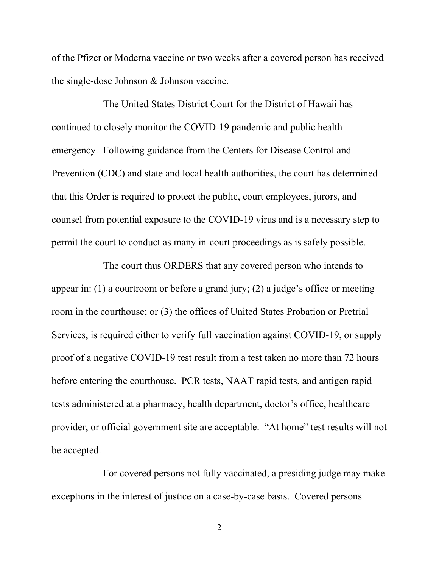of the Pfizer or Moderna vaccine or two weeks after a covered person has received the single-dose Johnson & Johnson vaccine.

The United States District Court for the District of Hawaii has continued to closely monitor the COVID-19 pandemic and public health emergency. Following guidance from the Centers for Disease Control and Prevention (CDC) and state and local health authorities, the court has determined that this Order is required to protect the public, court employees, jurors, and counsel from potential exposure to the COVID-19 virus and is a necessary step to permit the court to conduct as many in-court proceedings as is safely possible.

The court thus ORDERS that any covered person who intends to appear in: (1) a courtroom or before a grand jury; (2) a judge's office or meeting room in the courthouse; or (3) the offices of United States Probation or Pretrial Services, is required either to verify full vaccination against COVID-19, or supply proof of a negative COVID-19 test result from a test taken no more than 72 hours before entering the courthouse. PCR tests, NAAT rapid tests, and antigen rapid tests administered at a pharmacy, health department, doctor's office, healthcare provider, or official government site are acceptable. "At home" test results will not be accepted.

For covered persons not fully vaccinated, a presiding judge may make exceptions in the interest of justice on a case-by-case basis. Covered persons

2